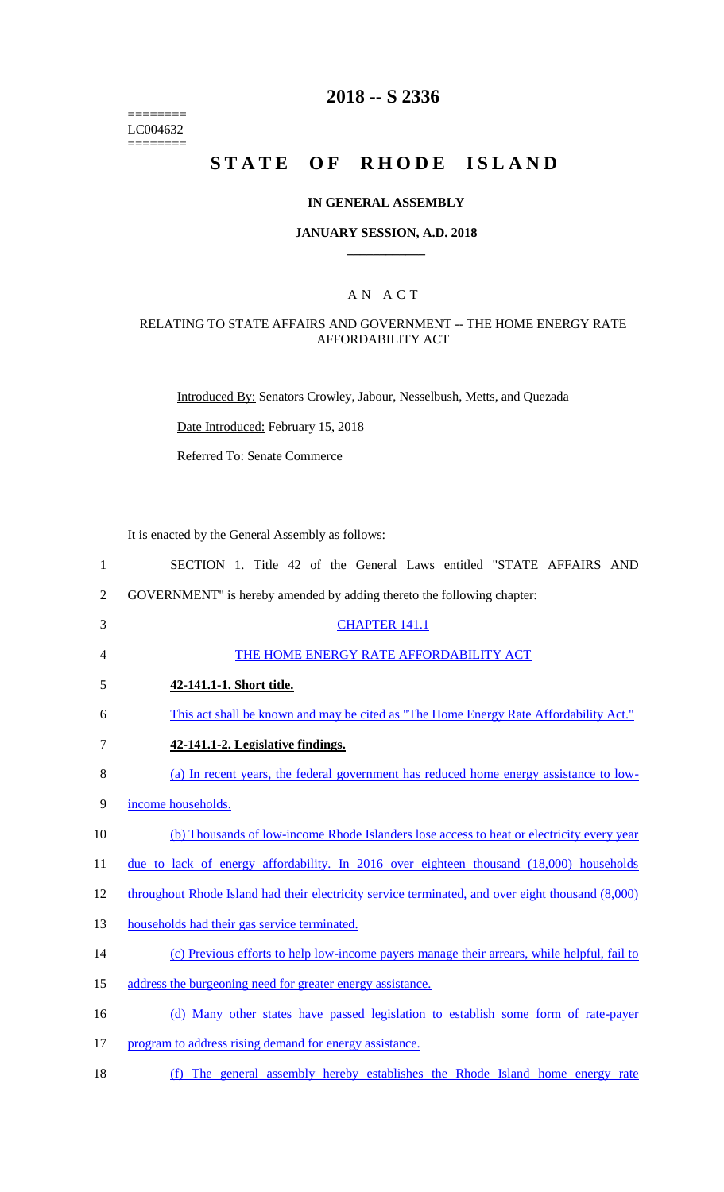======== LC004632  $=$ 

# **2018 -- S 2336**

# **STATE OF RHODE ISLAND**

#### **IN GENERAL ASSEMBLY**

#### **JANUARY SESSION, A.D. 2018 \_\_\_\_\_\_\_\_\_\_\_\_**

## A N A C T

#### RELATING TO STATE AFFAIRS AND GOVERNMENT -- THE HOME ENERGY RATE AFFORDABILITY ACT

Introduced By: Senators Crowley, Jabour, Nesselbush, Metts, and Quezada

Date Introduced: February 15, 2018

Referred To: Senate Commerce

It is enacted by the General Assembly as follows:

| SECTION 1. Title 42 of the General Laws entitled "STATE AFFAIRS AND                               |
|---------------------------------------------------------------------------------------------------|
| GOVERNMENT" is hereby amended by adding thereto the following chapter:                            |
| <b>CHAPTER 141.1</b>                                                                              |
| THE HOME ENERGY RATE AFFORDABILITY ACT                                                            |
| 42-141.1-1. Short title.                                                                          |
| This act shall be known and may be cited as "The Home Energy Rate Affordability Act."             |
| 42-141.1-2. Legislative findings.                                                                 |
| (a) In recent years, the federal government has reduced home energy assistance to low-            |
| income households.                                                                                |
| (b) Thousands of low-income Rhode Islanders lose access to heat or electricity every year         |
| due to lack of energy affordability. In $2016$ over eighteen thousand $(18,000)$ households       |
| throughout Rhode Island had their electricity service terminated, and over eight thousand (8,000) |
| households had their gas service terminated.                                                      |
| (c) Previous efforts to help low-income payers manage their arrears, while helpful, fail to       |
| address the burgeoning need for greater energy assistance.                                        |
| (d) Many other states have passed legislation to establish some form of rate-payer                |
| program to address rising demand for energy assistance.                                           |
|                                                                                                   |

18 (f) The general assembly hereby establishes the Rhode Island home energy rate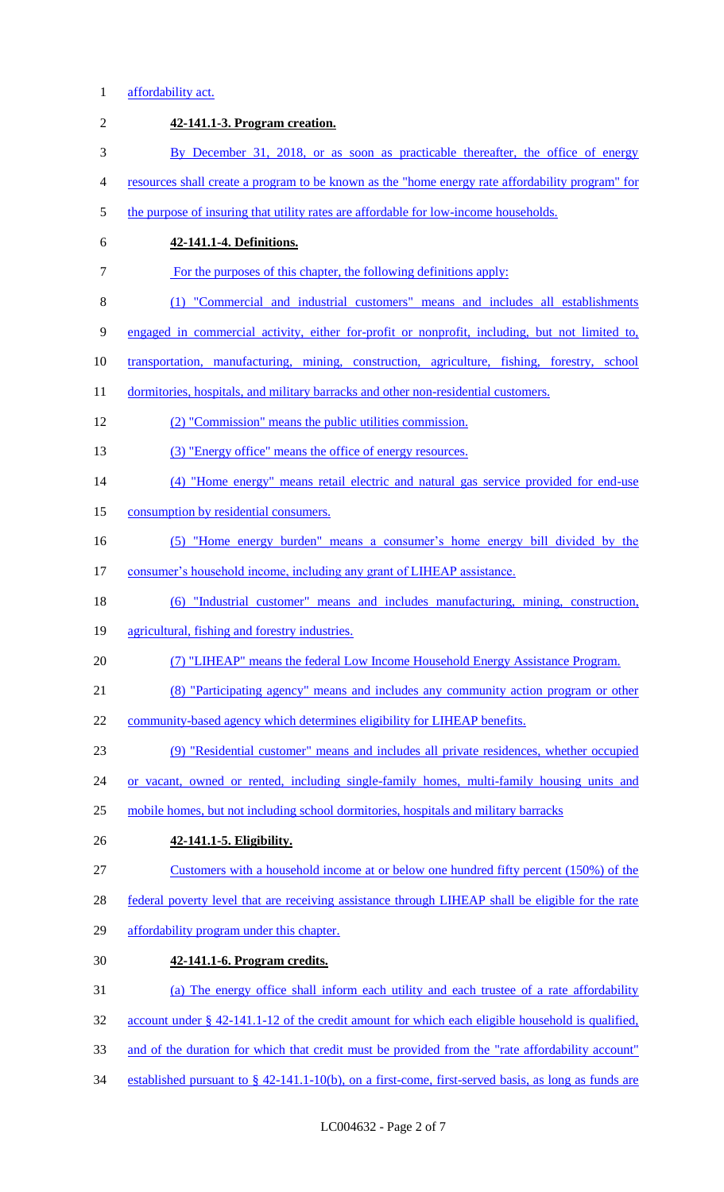# 1 affordability act.

| $\overline{2}$ | 42-141.1-3. Program creation.                                                                          |
|----------------|--------------------------------------------------------------------------------------------------------|
| 3              | By December 31, 2018, or as soon as practicable thereafter, the office of energy                       |
| $\overline{4}$ | resources shall create a program to be known as the "home energy rate affordability program" for       |
| 5              | the purpose of insuring that utility rates are affordable for low-income households.                   |
| 6              | 42-141.1-4. Definitions.                                                                               |
| 7              | For the purposes of this chapter, the following definitions apply:                                     |
| $8\,$          | (1) "Commercial and industrial customers" means and includes all establishments                        |
| 9              | engaged in commercial activity, either for-profit or nonprofit, including, but not limited to,         |
| 10             | transportation, manufacturing, mining, construction, agriculture, fishing, forestry, school            |
| 11             | dormitories, hospitals, and military barracks and other non-residential customers.                     |
| 12             | (2) "Commission" means the public utilities commission.                                                |
| 13             | (3) "Energy office" means the office of energy resources.                                              |
| 14             | (4) "Home energy" means retail electric and natural gas service provided for end-use                   |
| 15             | consumption by residential consumers.                                                                  |
| 16             | (5) "Home energy burden" means a consumer's home energy bill divided by the                            |
| 17             | consumer's household income, including any grant of LIHEAP assistance.                                 |
| 18             | (6) "Industrial customer" means and includes manufacturing, mining, construction,                      |
| 19             | agricultural, fishing and forestry industries.                                                         |
| 20             | (7) "LIHEAP" means the federal Low Income Household Energy Assistance Program.                         |
| 21             | (8) "Participating agency" means and includes any community action program or other                    |
| 22             | community-based agency which determines eligibility for LIHEAP benefits.                               |
| 23             | (9) "Residential customer" means and includes all private residences, whether occupied                 |
| 24             | or vacant, owned or rented, including single-family homes, multi-family housing units and              |
| 25             | mobile homes, but not including school dormitories, hospitals and military barracks                    |
| 26             | 42-141.1-5. Eligibility.                                                                               |
| 27             | Customers with a household income at or below one hundred fifty percent (150%) of the                  |
| 28             | federal poverty level that are receiving assistance through LIHEAP shall be eligible for the rate      |
| 29             | affordability program under this chapter.                                                              |
| 30             | 42-141.1-6. Program credits.                                                                           |
| 31             | (a) The energy office shall inform each utility and each trustee of a rate affordability               |
| 32             | account under $\S$ 42-141.1-12 of the credit amount for which each eligible household is qualified,    |
| 33             | and of the duration for which that credit must be provided from the "rate affordability account"       |
| 34             | established pursuant to $\S$ 42-141.1-10(b), on a first-come, first-served basis, as long as funds are |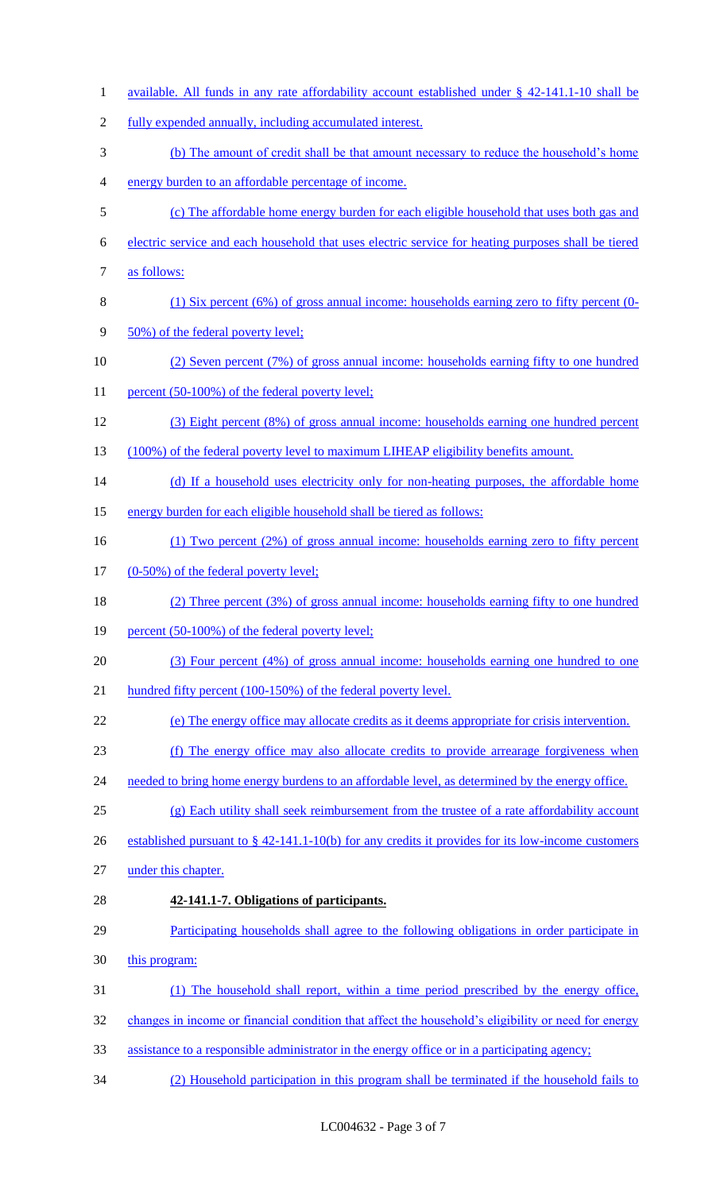1 available. All funds in any rate affordability account established under § 42-141.1-10 shall be fully expended annually, including accumulated interest. (b) The amount of credit shall be that amount necessary to reduce the household's home energy burden to an affordable percentage of income. (c) The affordable home energy burden for each eligible household that uses both gas and electric service and each household that uses electric service for heating purposes shall be tiered as follows: (1) Six percent (6%) of gross annual income: households earning zero to fifty percent (0- 9 50%) of the federal poverty level; (2) Seven percent (7%) of gross annual income: households earning fifty to one hundred 11 percent (50-100%) of the federal poverty level; (3) Eight percent (8%) of gross annual income: households earning one hundred percent 13 (100%) of the federal poverty level to maximum LIHEAP eligibility benefits amount. 14 (d) If a household uses electricity only for non-heating purposes, the affordable home energy burden for each eligible household shall be tiered as follows: (1) Two percent (2%) of gross annual income: households earning zero to fifty percent 17 (0-50%) of the federal poverty level; (2) Three percent (3%) of gross annual income: households earning fifty to one hundred 19 percent (50-100%) of the federal poverty level; (3) Four percent (4%) of gross annual income: households earning one hundred to one hundred fifty percent (100-150%) of the federal poverty level. (e) The energy office may allocate credits as it deems appropriate for crisis intervention. (f) The energy office may also allocate credits to provide arrearage forgiveness when 24 needed to bring home energy burdens to an affordable level, as determined by the energy office. (g) Each utility shall seek reimbursement from the trustee of a rate affordability account 26 established pursuant to § 42-141.1-10(b) for any credits it provides for its low-income customers under this chapter. **42-141.1-7. Obligations of participants.**  Participating households shall agree to the following obligations in order participate in 30 this program: (1) The household shall report, within a time period prescribed by the energy office, changes in income or financial condition that affect the household's eligibility or need for energy assistance to a responsible administrator in the energy office or in a participating agency; (2) Household participation in this program shall be terminated if the household fails to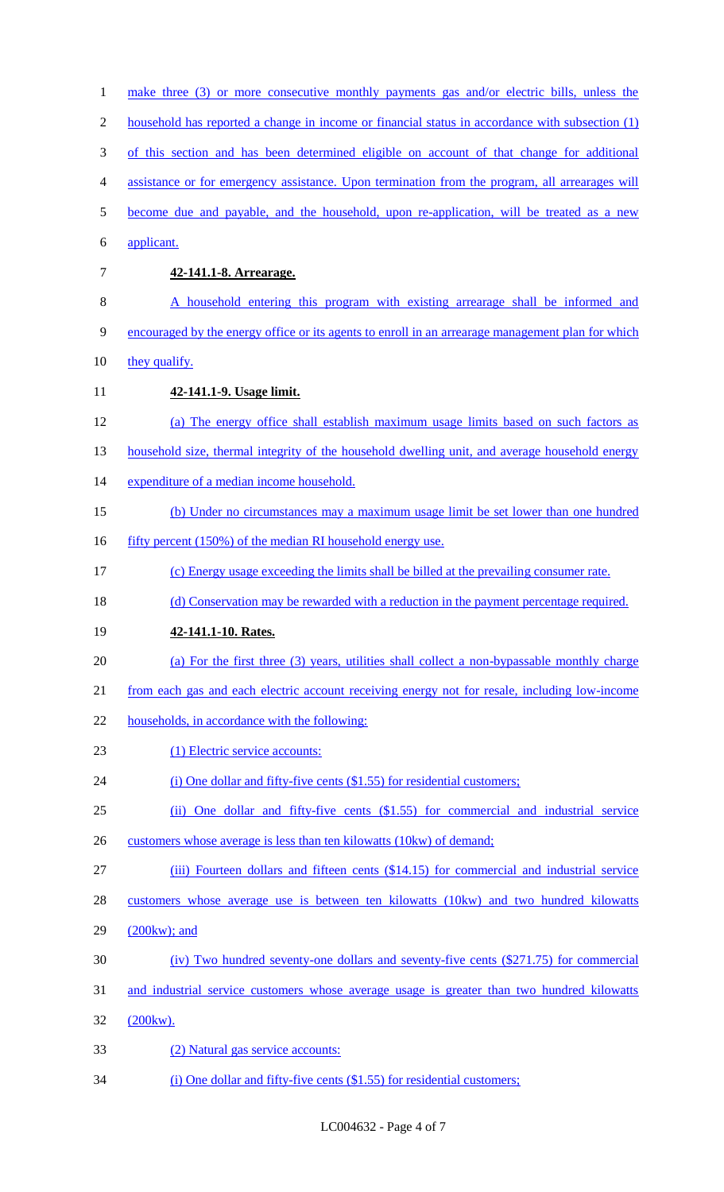| $\mathbf{1}$   | make three (3) or more consecutive monthly payments gas and/or electric bills, unless the         |
|----------------|---------------------------------------------------------------------------------------------------|
| $\overline{2}$ | household has reported a change in income or financial status in accordance with subsection (1)   |
| 3              | of this section and has been determined eligible on account of that change for additional         |
| 4              | assistance or for emergency assistance. Upon termination from the program, all arrearages will    |
| 5              | become due and payable, and the household, upon re-application, will be treated as a new          |
| 6              | applicant.                                                                                        |
| 7              | 42-141.1-8. Arrearage.                                                                            |
| 8              | A household entering this program with existing arrearage shall be informed and                   |
| 9              | encouraged by the energy office or its agents to enroll in an arrearage management plan for which |
| 10             | they qualify.                                                                                     |
| 11             | 42-141.1-9. Usage limit.                                                                          |
| 12             | (a) The energy office shall establish maximum usage limits based on such factors as               |
| 13             | household size, thermal integrity of the household dwelling unit, and average household energy    |
| 14             | expenditure of a median income household.                                                         |
| 15             | (b) Under no circumstances may a maximum usage limit be set lower than one hundred                |
| 16             | fifty percent (150%) of the median RI household energy use.                                       |
| 17             | (c) Energy usage exceeding the limits shall be billed at the prevailing consumer rate.            |
| 18             | (d) Conservation may be rewarded with a reduction in the payment percentage required.             |
| 19             | 42-141.1-10. Rates.                                                                               |
| 20             | (a) For the first three (3) years, utilities shall collect a non-bypassable monthly charge        |
| 21             | from each gas and each electric account receiving energy not for resale, including low-income     |
| 22             | households, in accordance with the following:                                                     |
| 23             | (1) Electric service accounts:                                                                    |
| 24             | (i) One dollar and fifty-five cents (\$1.55) for residential customers;                           |
| 25             | (ii) One dollar and fifty-five cents (\$1.55) for commercial and industrial service               |
| 26             | customers whose average is less than ten kilowatts (10kw) of demand;                              |
| 27             | (iii) Fourteen dollars and fifteen cents (\$14.15) for commercial and industrial service          |
| 28             | customers whose average use is between ten kilowatts (10kw) and two hundred kilowatts             |
| 29             | $(200kw)$ ; and                                                                                   |
| 30             | (iv) Two hundred seventy-one dollars and seventy-five cents (\$271.75) for commercial             |
| 31             | and industrial service customers whose average usage is greater than two hundred kilowatts        |
| 32             | (200kw).                                                                                          |
| 33             | (2) Natural gas service accounts:                                                                 |
| 34             | $(i)$ One dollar and fifty-five cents $(\$1.55)$ for residential customers;                       |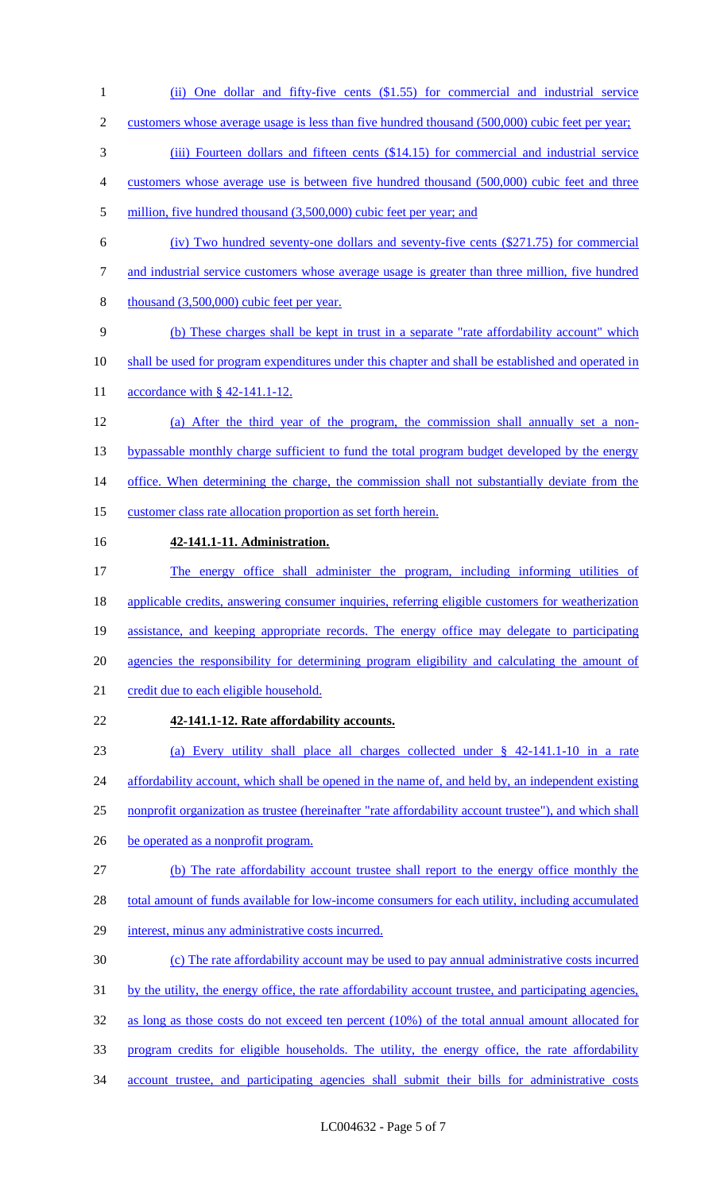- 1 (ii) One dollar and fifty-five cents (\$1.55) for commercial and industrial service
- 2 customers whose average usage is less than five hundred thousand (500,000) cubic feet per year;
- 3 (iii) Fourteen dollars and fifteen cents (\$14.15) for commercial and industrial service
- 4 customers whose average use is between five hundred thousand (500,000) cubic feet and three
- 5 million, five hundred thousand (3,500,000) cubic feet per year; and
- 6 (iv) Two hundred seventy-one dollars and seventy-five cents (\$271.75) for commercial
- 7 and industrial service customers whose average usage is greater than three million, five hundred
- 8 thousand (3,500,000) cubic feet per year.
- 9 (b) These charges shall be kept in trust in a separate "rate affordability account" which
- 10 shall be used for program expenditures under this chapter and shall be established and operated in
- 11 accordance with § 42-141.1-12.
- 12 (a) After the third year of the program, the commission shall annually set a non-13 bypassable monthly charge sufficient to fund the total program budget developed by the energy 14 office. When determining the charge, the commission shall not substantially deviate from the
- 15 customer class rate allocation proportion as set forth herein.
- 

## 16 **42-141.1-11. Administration.**

- 17 The energy office shall administer the program, including informing utilities of 18 applicable credits, answering consumer inquiries, referring eligible customers for weatherization 19 assistance, and keeping appropriate records. The energy office may delegate to participating 20 agencies the responsibility for determining program eligibility and calculating the amount of 21 credit due to each eligible household.
- 22 **42-141.1-12. Rate affordability accounts.**

23 (a) Every utility shall place all charges collected under § 42-141.1-10 in a rate 24 affordability account, which shall be opened in the name of, and held by, an independent existing 25 nonprofit organization as trustee (hereinafter "rate affordability account trustee"), and which shall

- 26 be operated as a nonprofit program.
- 27 (b) The rate affordability account trustee shall report to the energy office monthly the

28 total amount of funds available for low-income consumers for each utility, including accumulated

- 29 interest, minus any administrative costs incurred.
- 30 (c) The rate affordability account may be used to pay annual administrative costs incurred
- 31 by the utility, the energy office, the rate affordability account trustee, and participating agencies,
- 32 as long as those costs do not exceed ten percent (10%) of the total annual amount allocated for
- 33 program credits for eligible households. The utility, the energy office, the rate affordability
- 34 account trustee, and participating agencies shall submit their bills for administrative costs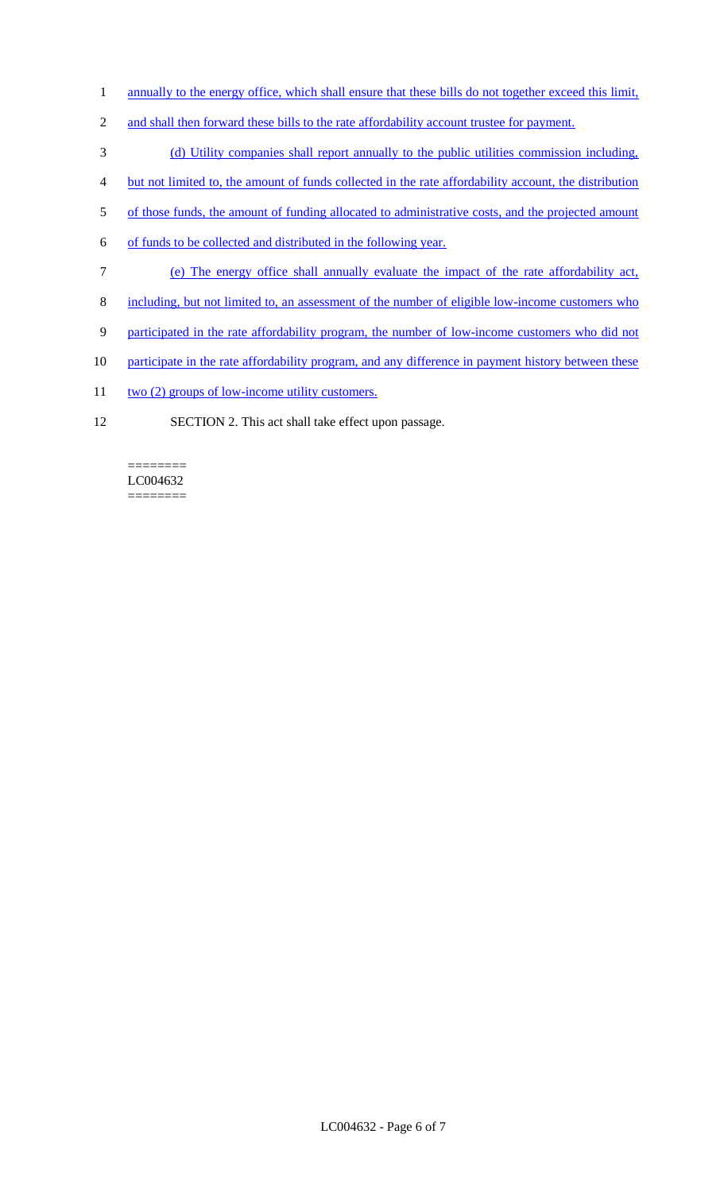- 1 annually to the energy office, which shall ensure that these bills do not together exceed this limit,
- 2 and shall then forward these bills to the rate affordability account trustee for payment.
- 3 (d) Utility companies shall report annually to the public utilities commission including,
- 4 but not limited to, the amount of funds collected in the rate affordability account, the distribution
- 5 of those funds, the amount of funding allocated to administrative costs, and the projected amount
- 6 of funds to be collected and distributed in the following year.
- 7 (e) The energy office shall annually evaluate the impact of the rate affordability act,
- 8 including, but not limited to, an assessment of the number of eligible low-income customers who
- 9 participated in the rate affordability program, the number of low-income customers who did not
- 10 participate in the rate affordability program, and any difference in payment history between these
- 11 two (2) groups of low-income utility customers.
- 12 SECTION 2. This act shall take effect upon passage.

======== LC004632 ========